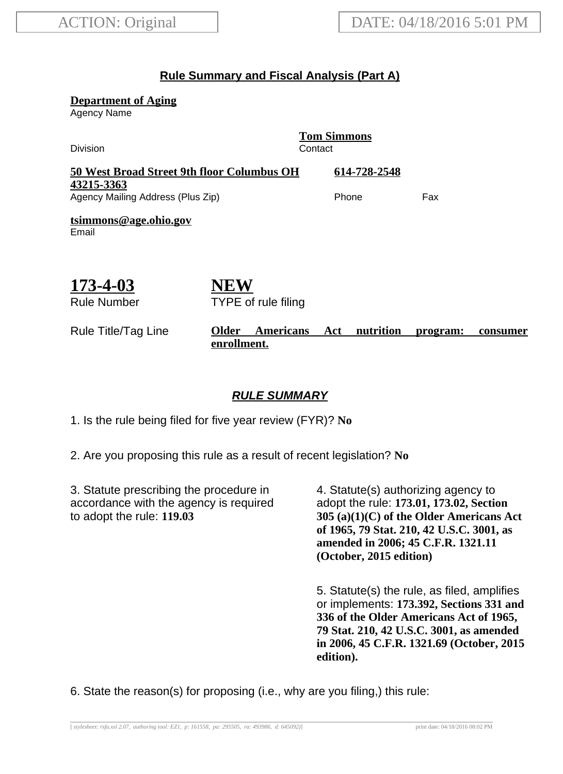### **Rule Summary and Fiscal Analysis (Part A)**

**Department of Aging**

Agency Name

| <b>Division</b>                                 |                                            | <b>Tom Simmons</b><br>Contact |     |  |  |
|-------------------------------------------------|--------------------------------------------|-------------------------------|-----|--|--|
|                                                 | 50 West Broad Street 9th floor Columbus OH | 614-728-2548                  |     |  |  |
| 43215-3363<br>Agency Mailing Address (Plus Zip) |                                            | Phone                         | Fax |  |  |
| tsimmons@age.ohio.gov<br>Email                  |                                            |                               |     |  |  |
| 173-4-03                                        | VEW                                        |                               |     |  |  |

Rule Number

**NEW** TYPE of rule filing

#### Rule Title/Tag Line **Older Americans Act nutrition program: consumer enrollment.**

### **RULE SUMMARY**

1. Is the rule being filed for five year review (FYR)? **No**

2. Are you proposing this rule as a result of recent legislation? **No**

3. Statute prescribing the procedure in accordance with the agency is required to adopt the rule: **119.03**

4. Statute(s) authorizing agency to adopt the rule: **173.01, 173.02, Section 305 (a)(1)(C) of the Older Americans Act of 1965, 79 Stat. 210, 42 U.S.C. 3001, as amended in 2006; 45 C.F.R. 1321.11 (October, 2015 edition)**

5. Statute(s) the rule, as filed, amplifies or implements: **173.392, Sections 331 and 336 of the Older Americans Act of 1965, 79 Stat. 210, 42 U.S.C. 3001, as amended in 2006, 45 C.F.R. 1321.69 (October, 2015 edition).**

6. State the reason(s) for proposing (i.e., why are you filing,) this rule: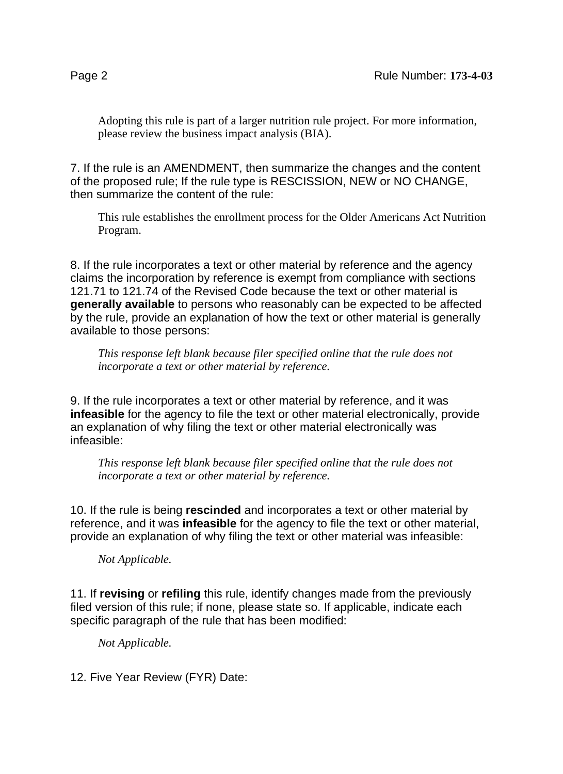Adopting this rule is part of a larger nutrition rule project. For more information, please review the business impact analysis (BIA).

7. If the rule is an AMENDMENT, then summarize the changes and the content of the proposed rule; If the rule type is RESCISSION, NEW or NO CHANGE, then summarize the content of the rule:

This rule establishes the enrollment process for the Older Americans Act Nutrition Program.

8. If the rule incorporates a text or other material by reference and the agency claims the incorporation by reference is exempt from compliance with sections 121.71 to 121.74 of the Revised Code because the text or other material is **generally available** to persons who reasonably can be expected to be affected by the rule, provide an explanation of how the text or other material is generally available to those persons:

*This response left blank because filer specified online that the rule does not incorporate a text or other material by reference.*

9. If the rule incorporates a text or other material by reference, and it was **infeasible** for the agency to file the text or other material electronically, provide an explanation of why filing the text or other material electronically was infeasible:

*This response left blank because filer specified online that the rule does not incorporate a text or other material by reference.*

10. If the rule is being **rescinded** and incorporates a text or other material by reference, and it was **infeasible** for the agency to file the text or other material, provide an explanation of why filing the text or other material was infeasible:

*Not Applicable.*

11. If **revising** or **refiling** this rule, identify changes made from the previously filed version of this rule; if none, please state so. If applicable, indicate each specific paragraph of the rule that has been modified:

*Not Applicable.*

12. Five Year Review (FYR) Date: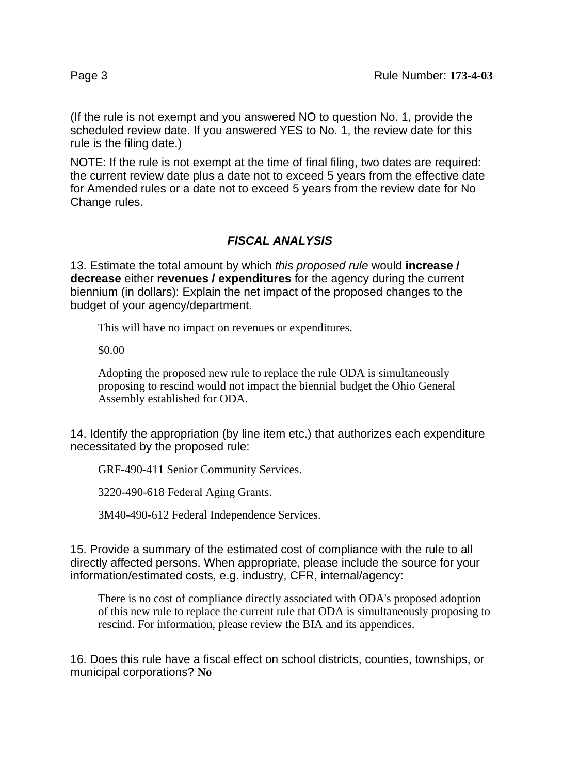(If the rule is not exempt and you answered NO to question No. 1, provide the scheduled review date. If you answered YES to No. 1, the review date for this rule is the filing date.)

NOTE: If the rule is not exempt at the time of final filing, two dates are required: the current review date plus a date not to exceed 5 years from the effective date for Amended rules or a date not to exceed 5 years from the review date for No Change rules.

# **FISCAL ANALYSIS**

13. Estimate the total amount by which this proposed rule would **increase / decrease** either **revenues / expenditures** for the agency during the current biennium (in dollars): Explain the net impact of the proposed changes to the budget of your agency/department.

This will have no impact on revenues or expenditures.

\$0.00

Adopting the proposed new rule to replace the rule ODA is simultaneously proposing to rescind would not impact the biennial budget the Ohio General Assembly established for ODA.

14. Identify the appropriation (by line item etc.) that authorizes each expenditure necessitated by the proposed rule:

GRF-490-411 Senior Community Services.

3220-490-618 Federal Aging Grants.

3M40-490-612 Federal Independence Services.

15. Provide a summary of the estimated cost of compliance with the rule to all directly affected persons. When appropriate, please include the source for your information/estimated costs, e.g. industry, CFR, internal/agency:

There is no cost of compliance directly associated with ODA's proposed adoption of this new rule to replace the current rule that ODA is simultaneously proposing to rescind. For information, please review the BIA and its appendices.

16. Does this rule have a fiscal effect on school districts, counties, townships, or municipal corporations? **No**